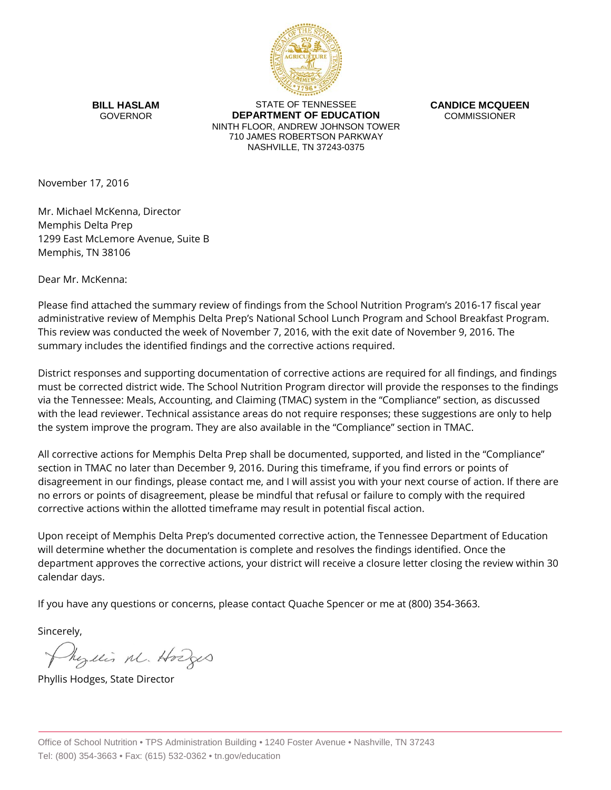

**BILL HASLAM** GOVERNOR

STATE OF TENNESSEE **DEPARTMENT OF EDUCATION** NINTH FLOOR, ANDREW JOHNSON TOWER 710 JAMES ROBERTSON PARKWAY NASHVILLE, TN 37243-0375

**CANDICE MCQUEEN** COMMISSIONER

November 17, 2016

Mr. Michael McKenna, Director Memphis Delta Prep 1299 East McLemore Avenue, Suite B Memphis, TN 38106

Dear Mr. McKenna:

Please find attached the summary review of findings from the School Nutrition Program's 2016-17 fiscal year administrative review of Memphis Delta Prep's National School Lunch Program and School Breakfast Program. This review was conducted the week of November 7, 2016, with the exit date of November 9, 2016. The summary includes the identified findings and the corrective actions required.

District responses and supporting documentation of corrective actions are required for all findings, and findings must be corrected district wide. The School Nutrition Program director will provide the responses to the findings via the Tennessee: Meals, Accounting, and Claiming (TMAC) system in the "Compliance" section, as discussed with the lead reviewer. Technical assistance areas do not require responses; these suggestions are only to help the system improve the program. They are also available in the "Compliance" section in TMAC.

All corrective actions for Memphis Delta Prep shall be documented, supported, and listed in the "Compliance" section in TMAC no later than December 9, 2016. During this timeframe, if you find errors or points of disagreement in our findings, please contact me, and I will assist you with your next course of action. If there are no errors or points of disagreement, please be mindful that refusal or failure to comply with the required corrective actions within the allotted timeframe may result in potential fiscal action.

Upon receipt of Memphis Delta Prep's documented corrective action, the Tennessee Department of Education will determine whether the documentation is complete and resolves the findings identified. Once the department approves the corrective actions, your district will receive a closure letter closing the review within 30 calendar days.

If you have any questions or concerns, please contact Quache Spencer or me at (800) 354-3663.

Sincerely,

Myllis M. Hodges

Phyllis Hodges, State Director